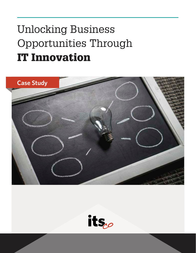# Unlocking Business Opportunities Through IT Innovation



its.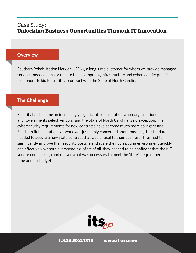#### **Overview**

Southern Rehabilitation Network (SRN), a long-time customer for whom we provide managed services, needed a major update to its computing infrastructure and cybersecurity practices to support its bid for a critical contract with the State of North Carolina.

#### **The Challenge**

Security has become an increasingly significant consideration when organizations and governments select vendors, and the State of North Carolina is no exception. The cybersecurity requirements for new contracts have become much more stringent and Southern Rehabilitation Network was justifiably concerned about meeting the standards needed to secure a new state contract that was critical to their business. They had to significantly improve their security posture and scale their computing environment quickly and effectively without overspending. Most of all, they needed to be confident that their IT vendor could design and deliver what was necessary to meet the State's requirements ontime and on-budget.

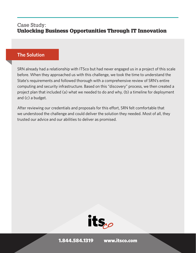### **The Solution**

SRN already had a relationship with ITSco but had never engaged us in a project of this scale before. When they approached us with this challenge, we took the time to understand the State's requirements and followed thorough with a comprehensive review of SRN's entire computing and security infrastructure. Based on this "discovery" process, we then created a project plan that included (a) what we needed to do and why, (b) a timeline for deployment and (c) a budget.

After reviewing our credentials and proposals for this effort, SRN felt comfortable that we understood the challenge and could deliver the solution they needed. Most of all, they trusted our advice and our abilities to deliver as promised.

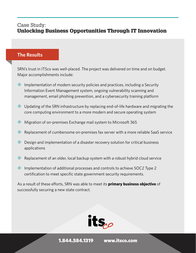## **The Results**

SRN's trust in ITSco was well-placed. The project was delivered on time and on budget. Major accomplishments include:

- Implementation of modern security policies and practices, including a Security Information Event Management system, ongoing vulnerability scanning and management, email phishing prevention, and a cybersecurity training platform
- **EXALUPD** Updating of the SRN infrastructure by replacing end-of-life hardware and migrating the core computing environment to a more modern and secure operating system
- Migration of on-premises Exchange mail system to Microsoft 365
- **EXECUTE:** Replacement of cumbersome on-premises fax server with a more reliable SaaS service
- $\gg$  Design and implementation of a disaster recovery solution for critical business applications
- Replacement of an older, local backup system with a robust hybrid cloud service
- Implementation of additional processes and controls to achieve SOC2 Type 2 certification to meet specific state government security requirements.

As a result of these efforts, SRN was able to meet its **primary business objective** of successfully securing a new state contract.